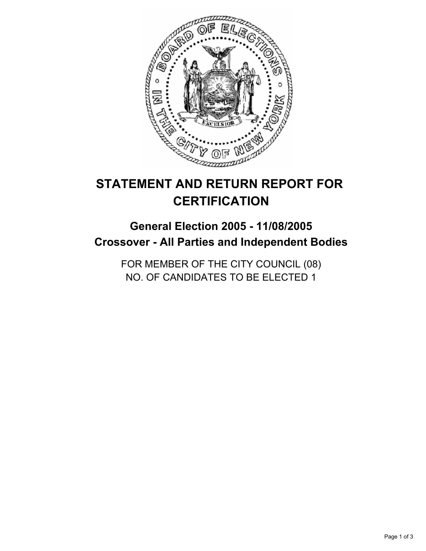

# **STATEMENT AND RETURN REPORT FOR CERTIFICATION**

## **General Election 2005 - 11/08/2005 Crossover - All Parties and Independent Bodies**

FOR MEMBER OF THE CITY COUNCIL (08) NO. OF CANDIDATES TO BE ELECTED 1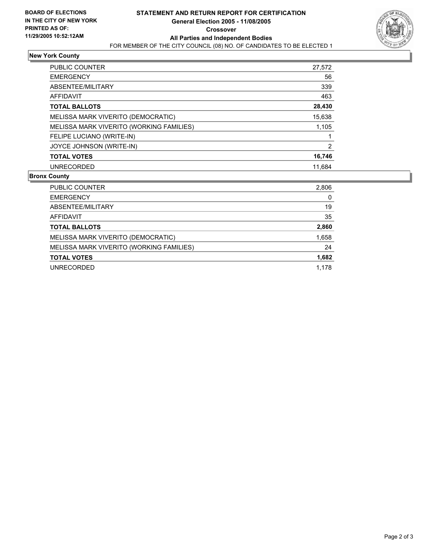

### **New York County**

| <b>PUBLIC COUNTER</b><br>27,572                   |
|---------------------------------------------------|
| 56<br><b>EMERGENCY</b>                            |
| ABSENTEE/MILITARY<br>339                          |
| 463<br>AFFIDAVIT                                  |
| 28,430<br><b>TOTAL BALLOTS</b>                    |
| 15,638<br>MELISSA MARK VIVERITO (DEMOCRATIC)      |
| MELISSA MARK VIVERITO (WORKING FAMILIES)<br>1,105 |
| FELIPE LUCIANO (WRITE-IN)                         |
| JOYCE JOHNSON (WRITE-IN)                          |
| 16,746<br><b>TOTAL VOTES</b>                      |
| <b>UNRECORDED</b><br>11.684                       |

#### **Bronx County**

| PUBLIC COUNTER                           | 2,806 |
|------------------------------------------|-------|
| <b>EMERGENCY</b>                         | 0     |
| ABSENTEE/MILITARY                        | 19    |
| AFFIDAVIT                                | 35    |
| <b>TOTAL BALLOTS</b>                     | 2,860 |
| MELISSA MARK VIVERITO (DEMOCRATIC)       | 1,658 |
| MELISSA MARK VIVERITO (WORKING FAMILIES) | 24    |
| <b>TOTAL VOTES</b>                       | 1,682 |
| UNRECORDED                               | 1.178 |